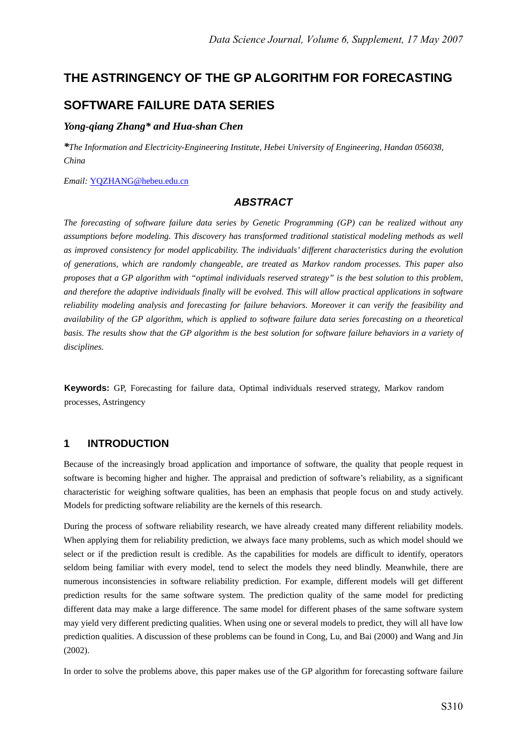# **THE ASTRINGENCY OF THE GP ALGORITHM FOR FORECASTING**

# **SOFTWARE FAILURE DATA SERIES**

## *Yong-qiang Zhang\* and Hua-shan Chen*

*\*The Information and Electricity-Engineering Institute, Hebei University of Engineering, Handan 056038, China* 

*Email:* YQZHANG@hebeu.edu.cn

## *ABSTRACT*

*The forecasting of software failure data series by Genetic Programming (GP) can be realized without any assumptions before modeling. This discovery has transformed traditional statistical modeling methods as well as improved consistency for model applicability. The individuals' different characteristics during the evolution of generations, which are randomly changeable, are treated as Markov random processes. This paper also proposes that a GP algorithm with "optimal individuals reserved strategy" is the best solution to this problem, and therefore the adaptive individuals finally will be evolved. This will allow practical applications in software reliability modeling analysis and forecasting for failure behaviors. Moreover it can verify the feasibility and availability of the GP algorithm, which is applied to software failure data series forecasting on a theoretical basis. The results show that the GP algorithm is the best solution for software failure behaviors in a variety of disciplines.*

**Keywords:** GP, Forecasting for failure data, Optimal individuals reserved strategy, Markov random processes, Astringency

## **1 INTRODUCTION**

Because of the increasingly broad application and importance of software, the quality that people request in software is becoming higher and higher. The appraisal and prediction of software's reliability, as a significant characteristic for weighing software qualities, has been an emphasis that people focus on and study actively. Models for predicting software reliability are the kernels of this research.

During the process of software reliability research, we have already created many different reliability models. When applying them for reliability prediction, we always face many problems, such as which model should we select or if the prediction result is credible. As the capabilities for models are difficult to identify, operators seldom being familiar with every model, tend to select the models they need blindly. Meanwhile, there are numerous inconsistencies in software reliability prediction. For example, different models will get different prediction results for the same software system. The prediction quality of the same model for predicting different data may make a large difference. The same model for different phases of the same software system may yield very different predicting qualities. When using one or several models to predict, they will all have low prediction qualities. A discussion of these problems can be found in Cong, Lu, and Bai (2000) and Wang and Jin (2002).

In order to solve the problems above, this paper makes use of the GP algorithm for forecasting software failure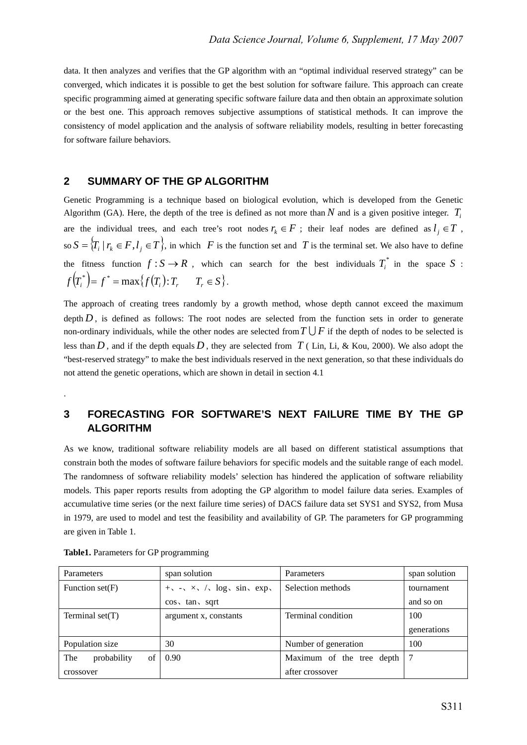data. It then analyzes and verifies that the GP algorithm with an "optimal individual reserved strategy" can be converged, which indicates it is possible to get the best solution for software failure. This approach can create specific programming aimed at generating specific software failure data and then obtain an approximate solution or the best one. This approach removes subjective assumptions of statistical methods. It can improve the consistency of model application and the analysis of software reliability models, resulting in better forecasting for software failure behaviors.

## **2 SUMMARY OF THE GP ALGORITHM**

Genetic Programming is a technique based on biological evolution, which is developed from the Genetic Algorithm (GA). Here, the depth of the tree is defined as not more than  $N$  and is a given positive integer.  $T_i$ are the individual trees, and each tree's root nodes  $r_k \in F$ ; their leaf nodes are defined as  $l_i \in T$ , so  $S = \{T_i | r_k \in F, l_i \in T\}$ , in which *F* is the function set and *T* is the terminal set. We also have to define the fitness function  $f: S \to R$ , which can search for the best individuals  $T_i^*$  in the space S:  $f(T_i^*) = f^* = \max\{f(T_i): T_r \quad T_r \in S\}.$ 

The approach of creating trees randomly by a growth method, whose depth cannot exceed the maximum depth  $D$ , is defined as follows: The root nodes are selected from the function sets in order to generate non-ordinary individuals, while the other nodes are selected from  $T \cup F$  if the depth of nodes to be selected is less than  $D$ , and if the depth equals  $D$ , they are selected from  $T$  (Lin, Li, & Kou, 2000). We also adopt the "best-reserved strategy" to make the best individuals reserved in the next generation, so that these individuals do not attend the genetic operations, which are shown in detail in section 4.1

## **3 FORECASTING FOR SOFTWARE'S NEXT FAILURE TIME BY THE GP ALGORITHM**

As we know, traditional software reliability models are all based on different statistical assumptions that constrain both the modes of software failure behaviors for specific models and the suitable range of each model. The randomness of software reliability models' selection has hindered the application of software reliability models. This paper reports results from adopting the GP algorithm to model failure data series. Examples of accumulative time series (or the next failure time series) of DACS failure data set SYS1 and SYS2, from Musa in 1979, are used to model and test the feasibility and availability of GP. The parameters for GP programming are given in Table 1.

| Parameters               | span solution                                     | Parameters                | span solution |
|--------------------------|---------------------------------------------------|---------------------------|---------------|
| Function $set(F)$        | $+\sqrt{-x} \times \sqrt{x} \log x \sin x \exp x$ | Selection methods         | tournament    |
|                          | $\cos \sqrt{\tan \sqrt{2}}$                       |                           | and so on     |
| Terminal $set(T)$        | argument x, constants                             | Terminal condition        | 100           |
|                          |                                                   |                           | generations   |
| Population size          | 30                                                | Number of generation      | 100           |
| probability<br>The<br>of | 0.90                                              | Maximum of the tree depth |               |
| crossover                |                                                   | after crossover           |               |

**Table1.** Parameters for GP programming

.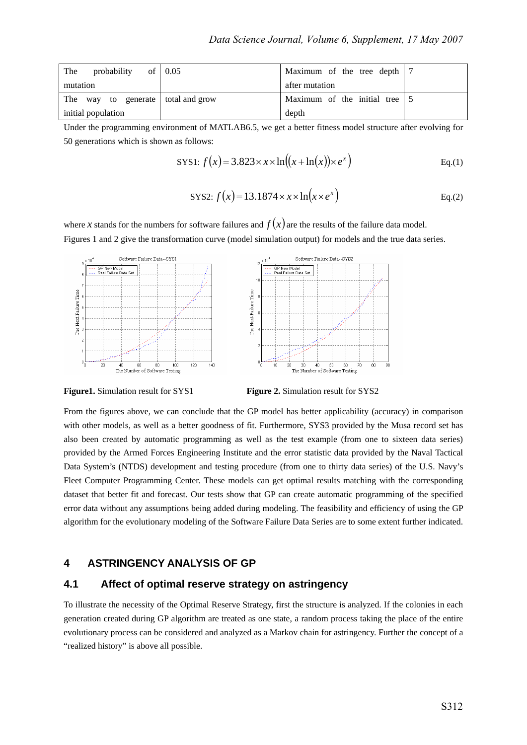| of $\vert 0.05 \vert$<br>probability<br>The | Maximum of the tree depth   7             |  |
|---------------------------------------------|-------------------------------------------|--|
| mutation                                    | after mutation                            |  |
| The way to generate total and grow          | Maximum of the initial tree $\frac{1}{5}$ |  |
| initial population                          | depth                                     |  |

Under the programming environment of MATLAB6.5, we get a better fitness model structure after evolving for 50 generations which is shown as follows:

$$
SVS1: f(x) = 3.823 \times x \times \ln((x + \ln(x)) \times e^x)
$$
 Eq.(1)

$$
SYS2: f(x) = 13.1874 \times x \times \ln(x \times e^{x})
$$
 Eq.(2)

where *x* stands for the numbers for software failures and  $f(x)$  are the results of the failure data model. Figures 1 and 2 give the transformation curve (model simulation output) for models and the true data series.



**Figure1.** Simulation result for SYS1 **Figure 2.** Simulation result for SYS2

From the figures above, we can conclude that the GP model has better applicability (accuracy) in comparison with other models, as well as a better goodness of fit. Furthermore, SYS3 provided by the Musa record set has also been created by automatic programming as well as the test example (from one to sixteen data series) provided by the Armed Forces Engineering Institute and the error statistic data provided by the Naval Tactical Data System's (NTDS) development and testing procedure (from one to thirty data series) of the U.S. Navy's Fleet Computer Programming Center. These models can get optimal results matching with the corresponding dataset that better fit and forecast. Our tests show that GP can create automatic programming of the specified error data without any assumptions being added during modeling. The feasibility and efficiency of using the GP algorithm for the evolutionary modeling of the Software Failure Data Series are to some extent further indicated.

## **4 ASTRINGENCY ANALYSIS OF GP**

### **4.1 Affect of optimal reserve strategy on astringency**

To illustrate the necessity of the Optimal Reserve Strategy, first the structure is analyzed. If the colonies in each generation created during GP algorithm are treated as one state, a random process taking the place of the entire evolutionary process can be considered and analyzed as a Markov chain for astringency. Further the concept of a "realized history" is above all possible.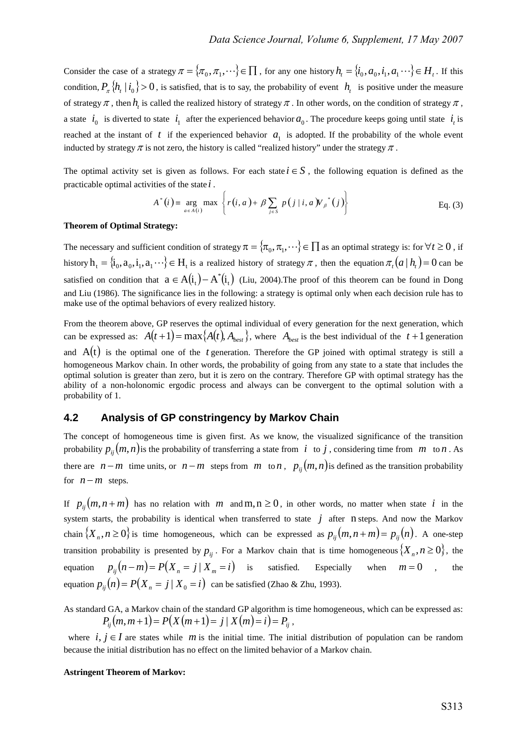Consider the case of a strategy  $\pi = {\pi_0, \pi_1, \dots} \in \Pi$ , for any one history  $h_t = {i_0, a_0, i_1, a_1 \dots} \in H_t$ . If this condition,  $P_{\pi}$  { $h_t | i_0$ } > 0, is satisfied, that is to say, the probability of event  $h_t$  is positive under the measure of strategy  $\pi$ , then  $h_t$  is called the realized history of strategy  $\pi$ . In other words, on the condition of strategy  $\pi$ , a state  $i_0$  is diverted to state  $i_1$  after the experienced behavior  $a_0$ . The procedure keeps going until state  $i_t$  is reached at the instant of  $t$  if the experienced behavior  $a_1$  is adopted. If the probability of the whole event inducted by strategy  $\pi$  is not zero, the history is called "realized history" under the strategy  $\pi$ .

The optimal activity set is given as follows. For each state  $i \in S$ , the following equation is defined as the practicable optimal activities of the state *i* .

$$
A^*(i) = \underset{a \in A(i)}{\arg} \max \left\{ r(i, a) + \beta \sum_{j \in S} p(j \mid i, a) V_{\beta}^*(j) \right\}
$$
 Eq. (3)

#### **Theorem of Optimal Strategy:**

The necessary and sufficient condition of strategy  $\pi = \{\pi_0, \pi_1, \dots\} \in \Pi$  as an optimal strategy is: for  $\forall t \ge 0$ , if history  $h_t = {\hat{i}_0, a_0, i_1, a_1 \cdots} \in H_t$  is a realized history of strategy  $\pi$ , then the equation  $\pi_t(a | h_t) = 0$  can be satisfied on condition that  $a \in A(t_1) - A^*(t_1)$  (Liu, 2004). The proof of this theorem can be found in Dong and Liu (1986). The significance lies in the following: a strategy is optimal only when each decision rule has to make use of the optimal behaviors of every realized history.

From the theorem above, GP reserves the optimal individual of every generation for the next generation, which can be expressed as:  $A(t+1) = \max\{A(t), A_{best}\}\$ , where  $A_{best}$  is the best individual of the  $t+1$  generation and  $A(t)$  is the optimal one of the *t* generation. Therefore the GP joined with optimal strategy is still a homogeneous Markov chain. In other words, the probability of going from any state to a state that includes the optimal solution is greater than zero, but it is zero on the contrary. Therefore GP with optimal strategy has the ability of a non-holonomic ergodic process and always can be convergent to the optimal solution with a probability of 1.

## **4.2 Analysis of GP constringency by Markov Chain**

The concept of homogeneous time is given first. As we know, the visualized significance of the transition probability  $p_{ii}(m, n)$  is the probability of transferring a state from *i* to *j*, considering time from *m* to *n*. As there are  $n - m$  time units, or  $n - m$  steps from *m* to *n*,  $p_{ii}(m, n)$  is defined as the transition probability for  $n - m$  steps.

If  $p_{ii}(m, n+m)$  has no relation with *m* and m, n ≥ 0, in other words, no matter when state *i* in the system starts, the probability is identical when transferred to state  $j$  after n steps. And now the Markov chain  $\{X_n, n \geq 0\}$  is time homogeneous, which can be expressed as  $p_{ij}(m, n+m) = p_{ij}(n)$ . A one-step transition probability is presented by  $p_{ij}$ . For a Markov chain that is time homogeneous  $\{X_n, n \ge 0\}$ , the equation  $p_{ii}(n-m) = P(X_n = j | X_m = i)$  is satisfied. Especially when  $m = 0$ , the equation  $p_{ii}(n) = P(X_n = j | X_0 = i)$  can be satisfied (Zhao & Zhu, 1993).

As standard GA, a Markov chain of the standard GP algorithm is time homogeneous, which can be expressed as:  $P_{ii}(m, m+1) = P(X(m+1) = j | X(m) = i) = P_{ii}$ 

where  $i, j \in I$  are states while *m* is the initial time. The initial distribution of population can be random because the initial distribution has no effect on the limited behavior of a Markov chain.

#### **Astringent Theorem of Markov:**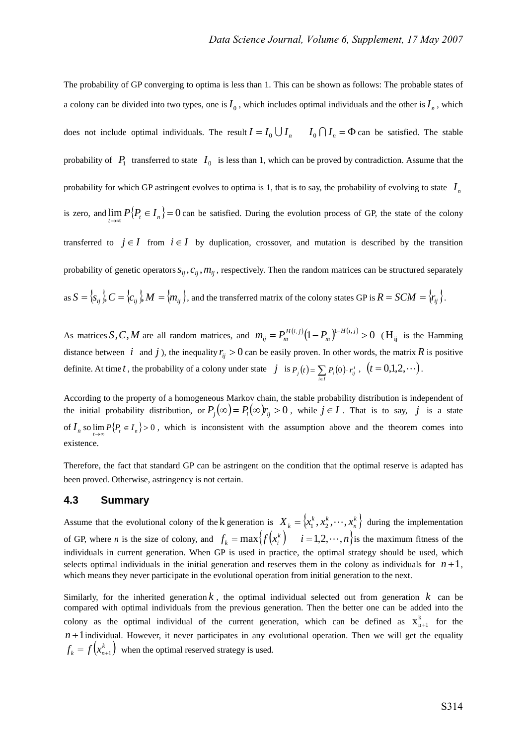The probability of GP converging to optima is less than 1. This can be shown as follows: The probable states of a colony can be divided into two types, one is  $I_0$ , which includes optimal individuals and the other is  $I_n$ , which does not include optimal individuals. The result  $I = I_0 \bigcup I_n$   $I_0 \bigcap I_n = \Phi$  can be satisfied. The stable probability of  $P_1$  transferred to state  $I_0$  is less than 1, which can be proved by contradiction. Assume that the probability for which GP astringent evolves to optima is 1, that is to say, the probability of evolving to state  $I_n$ is zero, and  $\lim_{t\to\infty} P\{P_t \in I_n\} = 0$  can be satisfied. During the evolution process of GP, the state of the colony transferred to  $j \in I$  from  $i \in I$  by duplication, crossover, and mutation is described by the transition probability of genetic operators  $s_{ij}$ ,  $c_{ij}$ ,  $m_{ij}$ , respectively. Then the random matrices can be structured separately as  $S = \{s_{ij}\}\$ ,  $C = \{c_{ij}\}\$ ,  $M = \{m_{ij}\}\$ , and the transferred matrix of the colony states GP is  $R = SCM = \{r_{ij}\}\$ .

As matrices *S*, *C*, *M* are all random matrices, and  $m_{ij} = P_m^{H(i,j)} (1 - P_m)^{1-H(i,j)} > 0$  (H<sub>ij</sub> is the Hamming distance between *i* and *j*), the inequality  $r_i > 0$  can be easily proven. In other words, the matrix *R* is positive definite. At time *t*, the probability of a colony under state  $j$  is  $P_j(t) = \sum_{i \in I} P_i(0)$ .  $i \in I$  $P_i(t) = \sum P_i(0) \cdot r_{ij}^t$ ,  $(t = 0,1,2,\dots).$ 

According to the property of a homogeneous Markov chain, the stable probability distribution is independent of the initial probability distribution, or  $P_i(\infty) = P_i(\infty)r_i > 0$ , while  $j \in I$ . That is to say, *j* is a state of  $I_n$  so  $\lim_{t\to\infty} P\{P_t \in I_n\} > 0$ , which is inconsistent with the assumption above and the theorem comes into existence.

Therefore, the fact that standard GP can be astringent on the condition that the optimal reserve is adapted has been proved. Otherwise, astringency is not certain.

## **4.3 Summary**

Assume that the evolutional colony of the k generation is  $X_k = \{x_1^k, x_2^k, \dots, x_n^k\}$  $X_k = \{x_1^k, x_2^k, \dots, x_n^k\}$  during the implementation of GP, where *n* is the size of colony, and  $f_k = \max\{f(x_i^k) \mid i = 1, 2, \dots, n\}$  is the maximum fitness of the individuals in current generation. When GP is used in practice, the optimal strategy should be used, which selects optimal individuals in the initial generation and reserves them in the colony as individuals for  $n+1$ , which means they never participate in the evolutional operation from initial generation to the next.

Similarly, for the inherited generation  $k$ , the optimal individual selected out from generation  $k$  can be compared with optimal individuals from the previous generation. Then the better one can be added into the colony as the optimal individual of the current generation, which can be defined as  $X_{n+1}^k$  for the  $n+1$  individual. However, it never participates in any evolutional operation. Then we will get the equality  $f_k = f(x_{n+1}^k)$  when the optimal reserved strategy is used.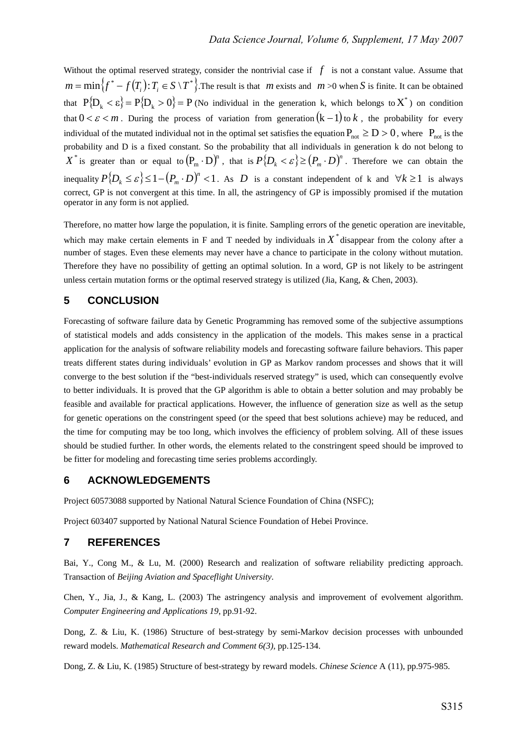Without the optimal reserved strategy, consider the nontrivial case if  $f$  is not a constant value. Assume that  ${m = min}$  ${f^* - f(T_i): T_i \in S \setminus T^*}$ . The result is that *m* exists and *m* >0 when *S* is finite. It can be obtained that  $P{D_k < \varepsilon} = P{D_k > 0} = P(N_0 \text{ individual in the generation } k, \text{ which belongs to } X^*)$  on condition that  $0 < \varepsilon < m$ . During the process of variation from generation  $(k-1)$  to k, the probability for every individual of the mutated individual not in the optimal set satisfies the equation  $P_{net} \ge D > 0$ , where  $P_{net}$  is the probability and D is a fixed constant. So the probability that all individuals in generation k do not belong to  $X^*$  is greater than or equal to  $(P_m \cdot D)^n$ , that is  $P\{D_k < \varepsilon\} \ge (P_m \cdot D)^n$ . Therefore we can obtain the inequality  $P\{D_k \leq \varepsilon\} \leq 1-(P_m \cdot D)^n < 1$ . As *D* is a constant independent of k and  $\forall k \geq 1$  is always correct, GP is not convergent at this time. In all, the astringency of GP is impossibly promised if the mutation operator in any form is not applied.

Therefore, no matter how large the population, it is finite. Sampling errors of the genetic operation are inevitable, which may make certain elements in F and T needed by individuals in  $X^*$  disappear from the colony after a number of stages. Even these elements may never have a chance to participate in the colony without mutation. Therefore they have no possibility of getting an optimal solution. In a word, GP is not likely to be astringent unless certain mutation forms or the optimal reserved strategy is utilized (Jia, Kang, & Chen, 2003).

## **5 CONCLUSION**

Forecasting of software failure data by Genetic Programming has removed some of the subjective assumptions of statistical models and adds consistency in the application of the models. This makes sense in a practical application for the analysis of software reliability models and forecasting software failure behaviors. This paper treats different states during individuals' evolution in GP as Markov random processes and shows that it will converge to the best solution if the "best-individuals reserved strategy" is used, which can consequently evolve to better individuals. It is proved that the GP algorithm is able to obtain a better solution and may probably be feasible and available for practical applications. However, the influence of generation size as well as the setup for genetic operations on the constringent speed (or the speed that best solutions achieve) may be reduced, and the time for computing may be too long, which involves the efficiency of problem solving. All of these issues should be studied further. In other words, the elements related to the constringent speed should be improved to be fitter for modeling and forecasting time series problems accordingly.

## **6 ACKNOWLEDGEMENTS**

Project 60573088 supported by National Natural Science Foundation of China (NSFC);

Project 603407 supported by National Natural Science Foundation of Hebei Province.

### **7 REFERENCES**

Bai, Y., Cong M., & Lu, M. (2000) Research and realization of software reliability predicting approach. Transaction of *Beijing Aviation and Spaceflight University*.

Chen, Y., Jia, J., & Kang, L. (2003) The astringency analysis and improvement of evolvement algorithm. *Computer Engineering and Applications 19*, pp.91-92.

Dong, Z. & Liu, K. (1986) Structure of best-strategy by semi-Markov decision processes with unbounded reward models. *Mathematical Research and Comment 6(3),* pp.125-134.

Dong, Z. & Liu, K. (1985) Structure of best-strategy by reward models. *Chinese Science* A (11), pp.975-985.